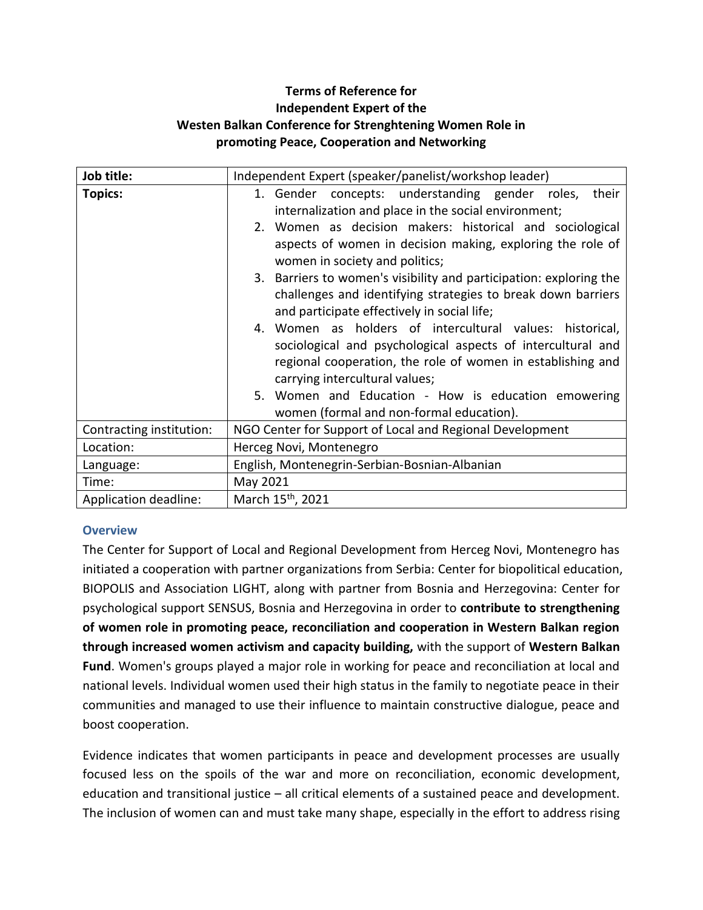# **Terms of Reference for Independent Expert of the Westen Balkan Conference for Strenghtening Women Role in promoting Peace, Cooperation and Networking**

| Job title:               | Independent Expert (speaker/panelist/workshop leader)              |  |
|--------------------------|--------------------------------------------------------------------|--|
| <b>Topics:</b>           | 1. Gender concepts: understanding gender roles,<br>their           |  |
|                          | internalization and place in the social environment;               |  |
|                          | 2. Women as decision makers: historical and sociological           |  |
|                          | aspects of women in decision making, exploring the role of         |  |
|                          | women in society and politics;                                     |  |
|                          | 3. Barriers to women's visibility and participation: exploring the |  |
|                          | challenges and identifying strategies to break down barriers       |  |
|                          | and participate effectively in social life;                        |  |
|                          | 4. Women as holders of intercultural values: historical,           |  |
|                          | sociological and psychological aspects of intercultural and        |  |
|                          | regional cooperation, the role of women in establishing and        |  |
|                          | carrying intercultural values;                                     |  |
|                          | 5. Women and Education - How is education emowering                |  |
|                          | women (formal and non-formal education).                           |  |
| Contracting institution: | NGO Center for Support of Local and Regional Development           |  |
| Location:                | Herceg Novi, Montenegro                                            |  |
| Language:                | English, Montenegrin-Serbian-Bosnian-Albanian                      |  |
| Time:                    | May 2021                                                           |  |
| Application deadline:    | March 15 <sup>th</sup> , 2021                                      |  |

#### **Overview**

The Center for Support of Local and Regional Development from Herceg Novi, Montenegro has initiated a cooperation with partner organizations from Serbia: Center for biopolitical education, BIOPOLIS and Association LIGHT, along with partner from Bosnia and Herzegovina: Center for psychological support SENSUS, Bosnia and Herzegovina in order to **contribute to strengthening of women role in promoting peace, reconciliation and cooperation in Western Balkan region through increased women activism and capacity building,** with the support of **Western Balkan Fund**. Women's groups played a major role in working for peace and reconciliation at local and national levels. Individual women used their high status in the family to negotiate peace in their communities and managed to use their influence to maintain constructive dialogue, peace and boost cooperation.

Evidence indicates that women participants in peace and development processes are usually focused less on the spoils of the war and more on reconciliation, economic development, education and transitional justice – all critical elements of a sustained peace and development. The inclusion of women can and must take many shape, especially in the effort to address rising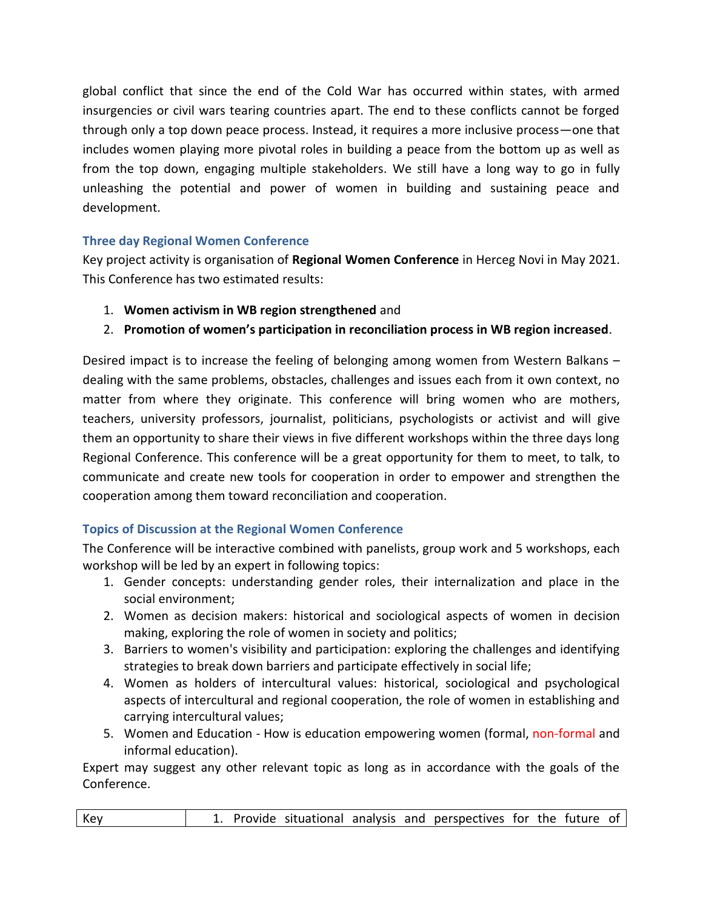global conflict that since the end of the Cold War has occurred within states, with armed insurgencies or civil wars tearing countries apart. The end to these conflicts cannot be forged through only a top down peace process. Instead, it requires a more inclusive process—one that includes women playing more pivotal roles in building a peace from the bottom up as well as from the top down, engaging multiple stakeholders. We still have a long way to go in fully unleashing the potential and power of women in building and sustaining peace and development.

# **Three day Regional Women Conference**

Key project activity is organisation of **Regional Women Conference** in Herceg Novi in May 2021. This Conference has two estimated results:

- 1. **Women activism in WB region strengthened** and
- 2. **Promotion of women's participation in reconciliation process in WB region increased**.

Desired impact is to increase the feeling of belonging among women from Western Balkans – dealing with the same problems, obstacles, challenges and issues each from it own context, no matter from where they originate. This conference will bring women who are mothers, teachers, university professors, journalist, politicians, psychologists or activist and will give them an opportunity to share their views in five different workshops within the three days long Regional Conference. This conference will be a great opportunity for them to meet, to talk, to communicate and create new tools for cooperation in order to empower and strengthen the cooperation among them toward reconciliation and cooperation.

# **Topics of Discussion at the Regional Women Conference**

The Conference will be interactive combined with panelists, group work and 5 workshops, each workshop will be led by an expert in following topics:

- 1. Gender concepts: understanding gender roles, their internalization and place in the social environment;
- 2. Women as decision makers: historical and sociological aspects of women in decision making, exploring the role of women in society and politics;
- 3. Barriers to women's visibility and participation: exploring the challenges and identifying strategies to break down barriers and participate effectively in social life;
- 4. Women as holders of intercultural values: historical, sociological and psychological aspects of intercultural and regional cooperation, the role of women in establishing and carrying intercultural values;
- 5. Women and Education How is education empowering women (formal, non-formal and informal education).

Expert may suggest any other relevant topic as long as in accordance with the goals of the Conference.

| 1. Provide situational analysis and perspectives for the future of<br>Key |
|---------------------------------------------------------------------------|
|---------------------------------------------------------------------------|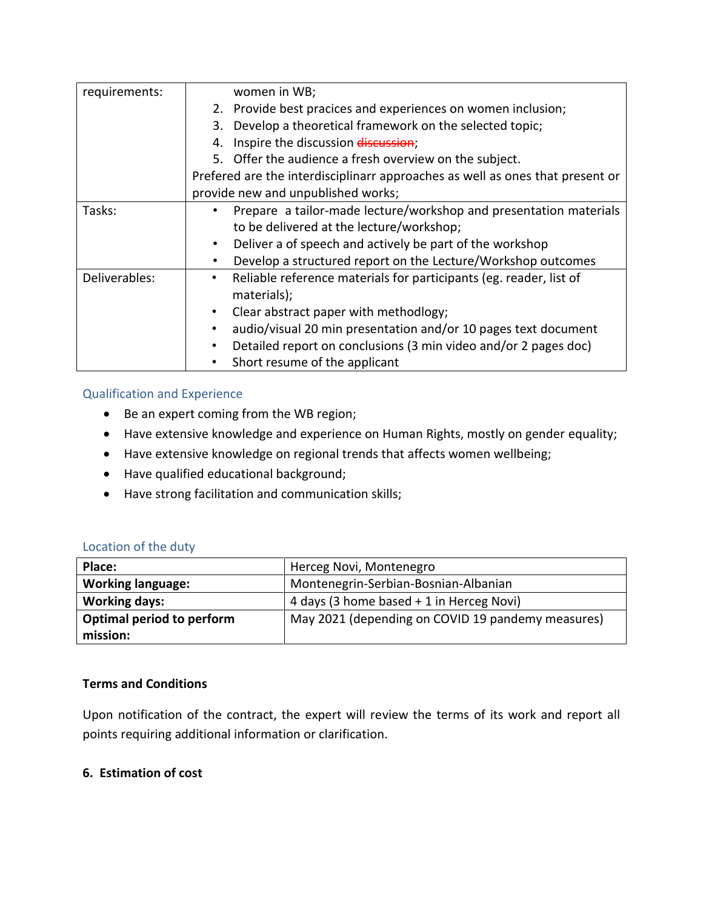| requirements: | women in WB;                                                                    |  |
|---------------|---------------------------------------------------------------------------------|--|
|               | 2. Provide best pracices and experiences on women inclusion;                    |  |
|               | 3. Develop a theoretical framework on the selected topic;                       |  |
|               | Inspire the discussion discussion;<br>4.                                        |  |
|               | 5. Offer the audience a fresh overview on the subject.                          |  |
|               | Prefered are the interdisciplinarr approaches as well as ones that present or   |  |
|               | provide new and unpublished works;                                              |  |
| Tasks:        | Prepare a tailor-made lecture/workshop and presentation materials               |  |
|               | to be delivered at the lecture/workshop;                                        |  |
|               | Deliver a of speech and actively be part of the workshop                        |  |
|               | Develop a structured report on the Lecture/Workshop outcomes<br>٠               |  |
| Deliverables: | Reliable reference materials for participants (eg. reader, list of<br>$\bullet$ |  |
|               | materials);                                                                     |  |
|               | Clear abstract paper with methodlogy;                                           |  |
|               | audio/visual 20 min presentation and/or 10 pages text document                  |  |
|               | Detailed report on conclusions (3 min video and/or 2 pages doc)                 |  |
|               | Short resume of the applicant                                                   |  |

### Qualification and Experience

- Be an expert coming from the WB region;
- Have extensive knowledge and experience on Human Rights, mostly on gender equality;
- Have extensive knowledge on regional trends that affects women wellbeing;
- Have qualified educational background;
- Have strong facilitation and communication skills;

### Location of the duty

| Place:                    | Herceg Novi, Montenegro                           |
|---------------------------|---------------------------------------------------|
| <b>Working language:</b>  | Montenegrin-Serbian-Bosnian-Albanian              |
| <b>Working days:</b>      | 4 days (3 home based + 1 in Herceg Novi)          |
| Optimal period to perform | May 2021 (depending on COVID 19 pandemy measures) |
| mission:                  |                                                   |

#### **Terms and Conditions**

Upon notification of the contract, the expert will review the terms of its work and report all points requiring additional information or clarification.

### **6. Estimation of cost**